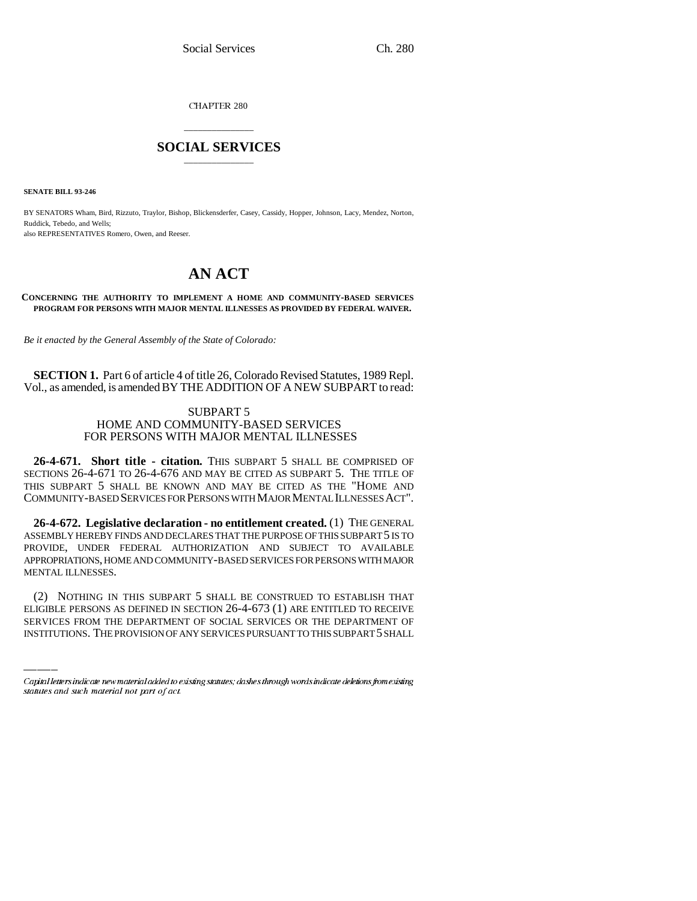**CHAPTER 280** 

# \_\_\_\_\_\_\_\_\_\_\_\_\_\_\_ **SOCIAL SERVICES** \_\_\_\_\_\_\_\_\_\_\_\_\_\_\_

**SENATE BILL 93-246**

BY SENATORS Wham, Bird, Rizzuto, Traylor, Bishop, Blickensderfer, Casey, Cassidy, Hopper, Johnson, Lacy, Mendez, Norton, Ruddick, Tebedo, and Wells; also REPRESENTATIVES Romero, Owen, and Reeser.

# **AN ACT**

#### **CONCERNING THE AUTHORITY TO IMPLEMENT A HOME AND COMMUNITY-BASED SERVICES PROGRAM FOR PERSONS WITH MAJOR MENTAL ILLNESSES AS PROVIDED BY FEDERAL WAIVER.**

*Be it enacted by the General Assembly of the State of Colorado:* 

**SECTION 1.** Part 6 of article 4 of title 26, Colorado Revised Statutes, 1989 Repl. Vol., as amended, is amended BY THE ADDITION OF A NEW SUBPART to read:

## SUBPART 5 HOME AND COMMUNITY-BASED SERVICES FOR PERSONS WITH MAJOR MENTAL ILLNESSES

**26-4-671. Short title - citation.** THIS SUBPART 5 SHALL BE COMPRISED OF SECTIONS 26-4-671 TO 26-4-676 AND MAY BE CITED AS SUBPART 5. THE TITLE OF THIS SUBPART 5 SHALL BE KNOWN AND MAY BE CITED AS THE "HOME AND COMMUNITY-BASED SERVICES FOR PERSONS WITH MAJOR MENTAL ILLNESSES ACT".

**26-4-672. Legislative declaration - no entitlement created.** (1) THE GENERAL ASSEMBLY HEREBY FINDS AND DECLARES THAT THE PURPOSE OF THIS SUBPART 5 IS TO PROVIDE, UNDER FEDERAL AUTHORIZATION AND SUBJECT TO AVAILABLE APPROPRIATIONS, HOME AND COMMUNITY-BASED SERVICES FOR PERSONS WITH MAJOR MENTAL ILLNESSES.

(2) NOTHING IN THIS SUBPART 5 SHALL BE CONSTRUED TO ESTABLISH THAT ELIGIBLE PERSONS AS DEFINED IN SECTION 26-4-673 (1) ARE ENTITLED TO RECEIVE SERVICES FROM THE DEPARTMENT OF SOCIAL SERVICES OR THE DEPARTMENT OF INSTITUTIONS. THE PROVISION OF ANY SERVICES PURSUANT TO THIS SUBPART 5 SHALL

Capital letters indicate new material added to existing statutes; dashes through words indicate deletions from existing statutes and such material not part of act.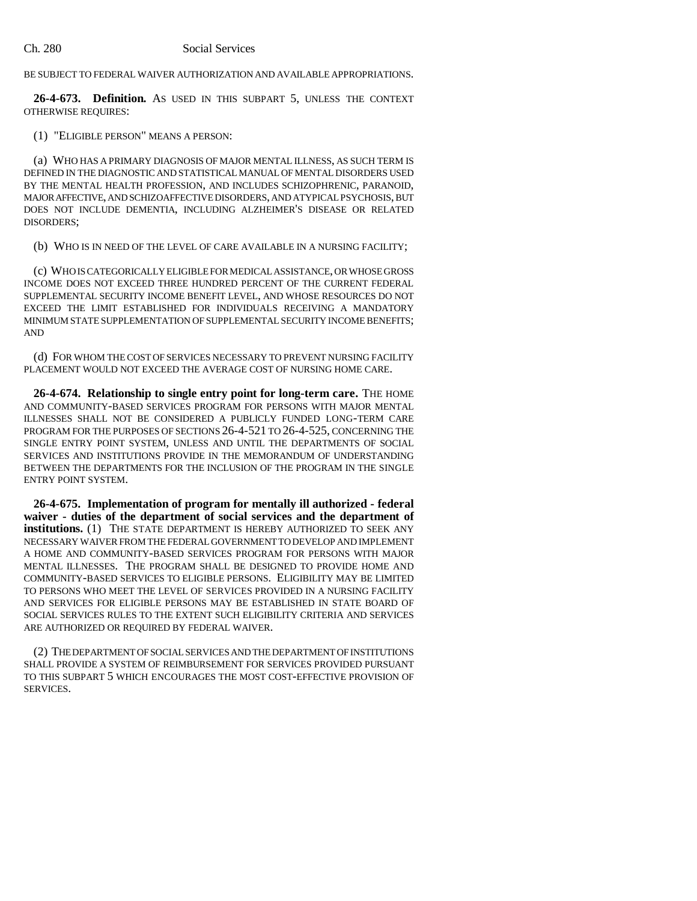BE SUBJECT TO FEDERAL WAIVER AUTHORIZATION AND AVAILABLE APPROPRIATIONS.

**26-4-673. Definition.** AS USED IN THIS SUBPART 5, UNLESS THE CONTEXT OTHERWISE REQUIRES:

(1) "ELIGIBLE PERSON" MEANS A PERSON:

(a) WHO HAS A PRIMARY DIAGNOSIS OF MAJOR MENTAL ILLNESS, AS SUCH TERM IS DEFINED IN THE DIAGNOSTIC AND STATISTICAL MANUAL OF MENTAL DISORDERS USED BY THE MENTAL HEALTH PROFESSION, AND INCLUDES SCHIZOPHRENIC, PARANOID, MAJOR AFFECTIVE, AND SCHIZOAFFECTIVE DISORDERS, AND ATYPICAL PSYCHOSIS, BUT DOES NOT INCLUDE DEMENTIA, INCLUDING ALZHEIMER'S DISEASE OR RELATED DISORDERS;

(b) WHO IS IN NEED OF THE LEVEL OF CARE AVAILABLE IN A NURSING FACILITY;

(c) WHO IS CATEGORICALLY ELIGIBLE FOR MEDICAL ASSISTANCE, OR WHOSE GROSS INCOME DOES NOT EXCEED THREE HUNDRED PERCENT OF THE CURRENT FEDERAL SUPPLEMENTAL SECURITY INCOME BENEFIT LEVEL, AND WHOSE RESOURCES DO NOT EXCEED THE LIMIT ESTABLISHED FOR INDIVIDUALS RECEIVING A MANDATORY MINIMUM STATE SUPPLEMENTATION OF SUPPLEMENTAL SECURITY INCOME BENEFITS; AND

(d) FOR WHOM THE COST OF SERVICES NECESSARY TO PREVENT NURSING FACILITY PLACEMENT WOULD NOT EXCEED THE AVERAGE COST OF NURSING HOME CARE.

**26-4-674. Relationship to single entry point for long-term care.** THE HOME AND COMMUNITY-BASED SERVICES PROGRAM FOR PERSONS WITH MAJOR MENTAL ILLNESSES SHALL NOT BE CONSIDERED A PUBLICLY FUNDED LONG-TERM CARE PROGRAM FOR THE PURPOSES OF SECTIONS 26-4-521 TO 26-4-525, CONCERNING THE SINGLE ENTRY POINT SYSTEM, UNLESS AND UNTIL THE DEPARTMENTS OF SOCIAL SERVICES AND INSTITUTIONS PROVIDE IN THE MEMORANDUM OF UNDERSTANDING BETWEEN THE DEPARTMENTS FOR THE INCLUSION OF THE PROGRAM IN THE SINGLE ENTRY POINT SYSTEM.

**26-4-675. Implementation of program for mentally ill authorized - federal waiver - duties of the department of social services and the department of institutions.** (1) THE STATE DEPARTMENT IS HEREBY AUTHORIZED TO SEEK ANY NECESSARY WAIVER FROM THE FEDERAL GOVERNMENT TO DEVELOP AND IMPLEMENT A HOME AND COMMUNITY-BASED SERVICES PROGRAM FOR PERSONS WITH MAJOR MENTAL ILLNESSES. THE PROGRAM SHALL BE DESIGNED TO PROVIDE HOME AND COMMUNITY-BASED SERVICES TO ELIGIBLE PERSONS. ELIGIBILITY MAY BE LIMITED TO PERSONS WHO MEET THE LEVEL OF SERVICES PROVIDED IN A NURSING FACILITY AND SERVICES FOR ELIGIBLE PERSONS MAY BE ESTABLISHED IN STATE BOARD OF SOCIAL SERVICES RULES TO THE EXTENT SUCH ELIGIBILITY CRITERIA AND SERVICES ARE AUTHORIZED OR REQUIRED BY FEDERAL WAIVER.

(2) THE DEPARTMENT OF SOCIAL SERVICES AND THE DEPARTMENT OF INSTITUTIONS SHALL PROVIDE A SYSTEM OF REIMBURSEMENT FOR SERVICES PROVIDED PURSUANT TO THIS SUBPART 5 WHICH ENCOURAGES THE MOST COST-EFFECTIVE PROVISION OF SERVICES.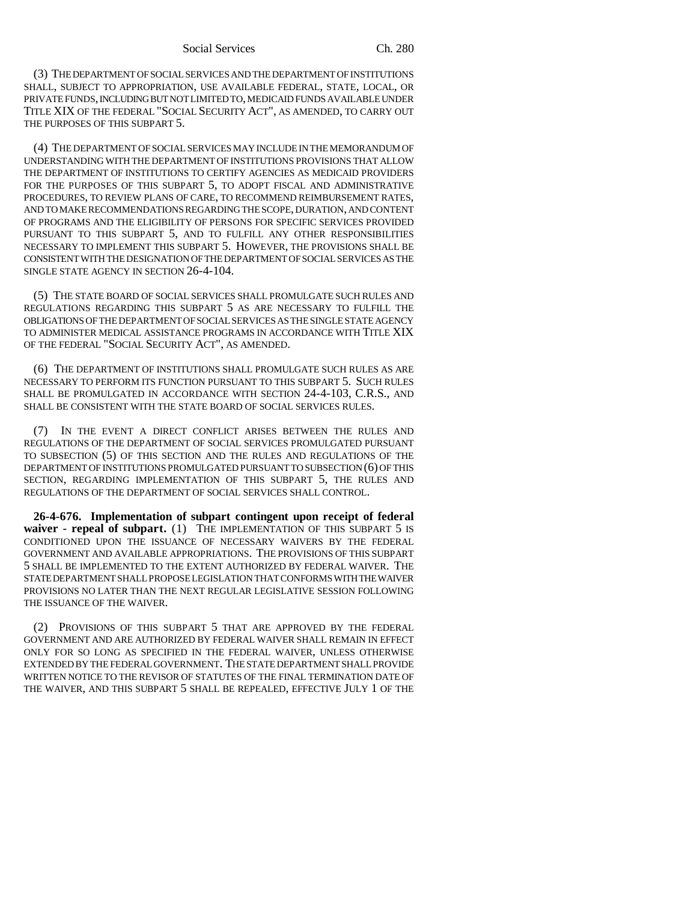(3) THE DEPARTMENT OF SOCIAL SERVICES AND THE DEPARTMENT OF INSTITUTIONS SHALL, SUBJECT TO APPROPRIATION, USE AVAILABLE FEDERAL, STATE, LOCAL, OR PRIVATE FUNDS, INCLUDING BUT NOT LIMITED TO, MEDICAID FUNDS AVAILABLE UNDER TITLE XIX OF THE FEDERAL "SOCIAL SECURITY ACT", AS AMENDED, TO CARRY OUT THE PURPOSES OF THIS SUBPART 5.

(4) THE DEPARTMENT OF SOCIAL SERVICES MAY INCLUDE IN THE MEMORANDUM OF UNDERSTANDING WITH THE DEPARTMENT OF INSTITUTIONS PROVISIONS THAT ALLOW THE DEPARTMENT OF INSTITUTIONS TO CERTIFY AGENCIES AS MEDICAID PROVIDERS FOR THE PURPOSES OF THIS SUBPART 5, TO ADOPT FISCAL AND ADMINISTRATIVE PROCEDURES, TO REVIEW PLANS OF CARE, TO RECOMMEND REIMBURSEMENT RATES, AND TO MAKE RECOMMENDATIONS REGARDING THE SCOPE, DURATION, AND CONTENT OF PROGRAMS AND THE ELIGIBILITY OF PERSONS FOR SPECIFIC SERVICES PROVIDED PURSUANT TO THIS SUBPART 5, AND TO FULFILL ANY OTHER RESPONSIBILITIES NECESSARY TO IMPLEMENT THIS SUBPART 5. HOWEVER, THE PROVISIONS SHALL BE CONSISTENT WITH THE DESIGNATION OF THE DEPARTMENT OF SOCIAL SERVICES AS THE SINGLE STATE AGENCY IN SECTION 26-4-104.

(5) THE STATE BOARD OF SOCIAL SERVICES SHALL PROMULGATE SUCH RULES AND REGULATIONS REGARDING THIS SUBPART 5 AS ARE NECESSARY TO FULFILL THE OBLIGATIONS OF THE DEPARTMENT OF SOCIAL SERVICES AS THE SINGLE STATE AGENCY TO ADMINISTER MEDICAL ASSISTANCE PROGRAMS IN ACCORDANCE WITH TITLE XIX OF THE FEDERAL "SOCIAL SECURITY ACT", AS AMENDED.

(6) THE DEPARTMENT OF INSTITUTIONS SHALL PROMULGATE SUCH RULES AS ARE NECESSARY TO PERFORM ITS FUNCTION PURSUANT TO THIS SUBPART 5. SUCH RULES SHALL BE PROMULGATED IN ACCORDANCE WITH SECTION 24-4-103, C.R.S., AND SHALL BE CONSISTENT WITH THE STATE BOARD OF SOCIAL SERVICES RULES.

(7) IN THE EVENT A DIRECT CONFLICT ARISES BETWEEN THE RULES AND REGULATIONS OF THE DEPARTMENT OF SOCIAL SERVICES PROMULGATED PURSUANT TO SUBSECTION (5) OF THIS SECTION AND THE RULES AND REGULATIONS OF THE DEPARTMENT OF INSTITUTIONS PROMULGATED PURSUANT TO SUBSECTION (6) OF THIS SECTION, REGARDING IMPLEMENTATION OF THIS SUBPART 5, THE RULES AND REGULATIONS OF THE DEPARTMENT OF SOCIAL SERVICES SHALL CONTROL.

**26-4-676. Implementation of subpart contingent upon receipt of federal** waiver - repeal of subpart. (1) THE IMPLEMENTATION OF THIS SUBPART 5 IS CONDITIONED UPON THE ISSUANCE OF NECESSARY WAIVERS BY THE FEDERAL GOVERNMENT AND AVAILABLE APPROPRIATIONS. THE PROVISIONS OF THIS SUBPART 5 SHALL BE IMPLEMENTED TO THE EXTENT AUTHORIZED BY FEDERAL WAIVER. THE STATE DEPARTMENT SHALL PROPOSE LEGISLATION THAT CONFORMS WITH THE WAIVER PROVISIONS NO LATER THAN THE NEXT REGULAR LEGISLATIVE SESSION FOLLOWING THE ISSUANCE OF THE WAIVER.

(2) PROVISIONS OF THIS SUBPART 5 THAT ARE APPROVED BY THE FEDERAL GOVERNMENT AND ARE AUTHORIZED BY FEDERAL WAIVER SHALL REMAIN IN EFFECT ONLY FOR SO LONG AS SPECIFIED IN THE FEDERAL WAIVER, UNLESS OTHERWISE EXTENDED BY THE FEDERAL GOVERNMENT. THE STATE DEPARTMENT SHALL PROVIDE WRITTEN NOTICE TO THE REVISOR OF STATUTES OF THE FINAL TERMINATION DATE OF THE WAIVER, AND THIS SUBPART 5 SHALL BE REPEALED, EFFECTIVE JULY 1 OF THE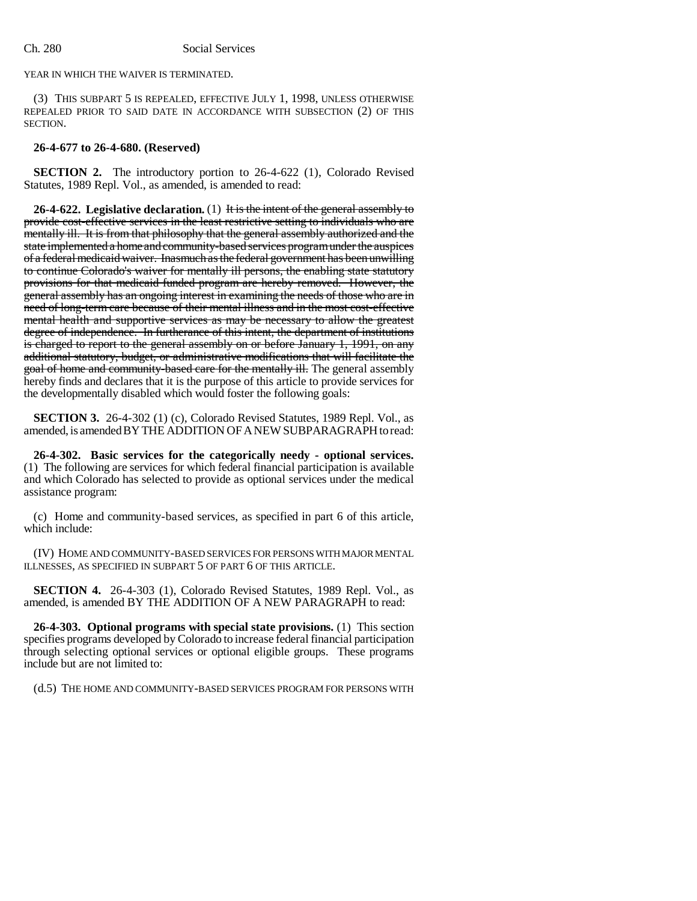YEAR IN WHICH THE WAIVER IS TERMINATED.

(3) THIS SUBPART 5 IS REPEALED, EFFECTIVE JULY 1, 1998, UNLESS OTHERWISE REPEALED PRIOR TO SAID DATE IN ACCORDANCE WITH SUBSECTION (2) OF THIS SECTION.

### **26-4-677 to 26-4-680. (Reserved)**

**SECTION 2.** The introductory portion to 26-4-622 (1), Colorado Revised Statutes, 1989 Repl. Vol., as amended, is amended to read:

**26-4-622. Legislative declaration.** (1) It is the intent of the general assembly to provide cost-effective services in the least restrictive setting to individuals who are mentally ill. It is from that philosophy that the general assembly authorized and the state implemented a home and community-based services program under the auspices of a federal medicaid waiver. Inasmuch as the federal government has been unwilling to continue Colorado's waiver for mentally ill persons, the enabling state statutory provisions for that medicaid funded program are hereby removed. However, the general assembly has an ongoing interest in examining the needs of those who are in need of long-term care because of their mental illness and in the most cost-effective mental health and supportive services as may be necessary to allow the greatest degree of independence. In furtherance of this intent, the department of institutions is charged to report to the general assembly on or before January 1, 1991, on any additional statutory, budget, or administrative modifications that will facilitate the goal of home and community-based care for the mentally ill. The general assembly hereby finds and declares that it is the purpose of this article to provide services for the developmentally disabled which would foster the following goals:

**SECTION 3.** 26-4-302 (1) (c), Colorado Revised Statutes, 1989 Repl. Vol., as amended, is amended BY THE ADDITION OF A NEW SUBPARAGRAPH to read:

**26-4-302. Basic services for the categorically needy - optional services.** (1) The following are services for which federal financial participation is available and which Colorado has selected to provide as optional services under the medical assistance program:

(c) Home and community-based services, as specified in part 6 of this article, which include:

(IV) HOME AND COMMUNITY-BASED SERVICES FOR PERSONS WITH MAJOR MENTAL ILLNESSES, AS SPECIFIED IN SUBPART 5 OF PART 6 OF THIS ARTICLE.

**SECTION 4.** 26-4-303 (1), Colorado Revised Statutes, 1989 Repl. Vol., as amended, is amended BY THE ADDITION OF A NEW PARAGRAPH to read:

**26-4-303. Optional programs with special state provisions.** (1) This section specifies programs developed by Colorado to increase federal financial participation through selecting optional services or optional eligible groups. These programs include but are not limited to:

(d.5) THE HOME AND COMMUNITY-BASED SERVICES PROGRAM FOR PERSONS WITH